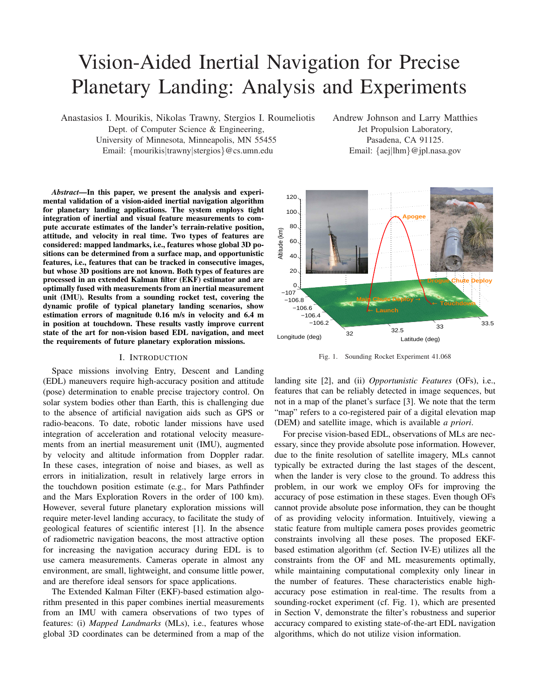# Vision-Aided Inertial Navigation for Precise Planetary Landing: Analysis and Experiments

Anastasios I. Mourikis, Nikolas Trawny, Stergios I. Roumeliotis Dept. of Computer Science & Engineering, University of Minnesota, Minneapolis, MN 55455 Email: {mourikis|trawny|stergios}@cs.umn.edu

*Abstract*—In this paper, we present the analysis and experimental validation of a vision-aided inertial navigation algorithm for planetary landing applications. The system employs tight integration of inertial and visual feature measurements to compute accurate estimates of the lander's terrain-relative position, attitude, and velocity in real time. Two types of features are considered: mapped landmarks, i.e., features whose global 3D positions can be determined from a surface map, and opportunistic features, i.e., features that can be tracked in consecutive images, but whose 3D positions are not known. Both types of features are processed in an extended Kalman filter (EKF) estimator and are optimally fused with measurements from an inertial measurement unit (IMU). Results from a sounding rocket test, covering the dynamic profile of typical planetary landing scenarios, show estimation errors of magnitude 0.16 m/s in velocity and 6.4 m in position at touchdown. These results vastly improve current state of the art for non-vision based EDL navigation, and meet the requirements of future planetary exploration missions.

## I. INTRODUCTION

Space missions involving Entry, Descent and Landing (EDL) maneuvers require high-accuracy position and attitude (pose) determination to enable precise trajectory control. On solar system bodies other than Earth, this is challenging due to the absence of artificial navigation aids such as GPS or radio-beacons. To date, robotic lander missions have used integration of acceleration and rotational velocity measurements from an inertial measurement unit (IMU), augmented by velocity and altitude information from Doppler radar. In these cases, integration of noise and biases, as well as errors in initialization, result in relatively large errors in the touchdown position estimate (e.g., for Mars Pathfinder and the Mars Exploration Rovers in the order of 100 km). However, several future planetary exploration missions will require meter-level landing accuracy, to facilitate the study of geological features of scientific interest [1]. In the absence of radiometric navigation beacons, the most attractive option for increasing the navigation accuracy during EDL is to use camera measurements. Cameras operate in almost any environment, are small, lightweight, and consume little power, and are therefore ideal sensors for space applications.

The Extended Kalman Filter (EKF)-based estimation algorithm presented in this paper combines inertial measurements from an IMU with camera observations of two types of features: (i) *Mapped Landmarks* (MLs), i.e., features whose global 3D coordinates can be determined from a map of the Andrew Johnson and Larry Matthies Jet Propulsion Laboratory, Pasadena, CA 91125. Email:  $\{aej|lhm\}$ @jpl.nasa.gov



Fig. 1. Sounding Rocket Experiment 41.068

landing site [2], and (ii) *Opportunistic Features* (OFs), i.e., features that can be reliably detected in image sequences, but not in a map of the planet's surface [3]. We note that the term "map" refers to a co-registered pair of a digital elevation map (DEM) and satellite image, which is available *a priori*.

For precise vision-based EDL, observations of MLs are necessary, since they provide absolute pose information. However, due to the finite resolution of satellite imagery, MLs cannot typically be extracted during the last stages of the descent, when the lander is very close to the ground. To address this problem, in our work we employ OFs for improving the accuracy of pose estimation in these stages. Even though OFs cannot provide absolute pose information, they can be thought of as providing velocity information. Intuitively, viewing a static feature from multiple camera poses provides geometric constraints involving all these poses. The proposed EKFbased estimation algorithm (cf. Section IV-E) utilizes all the constraints from the OF and ML measurements optimally, while maintaining computational complexity only linear in the number of features. These characteristics enable highaccuracy pose estimation in real-time. The results from a sounding-rocket experiment (cf. Fig. 1), which are presented in Section V, demonstrate the filter's robustness and superior accuracy compared to existing state-of-the-art EDL navigation algorithms, which do not utilize vision information.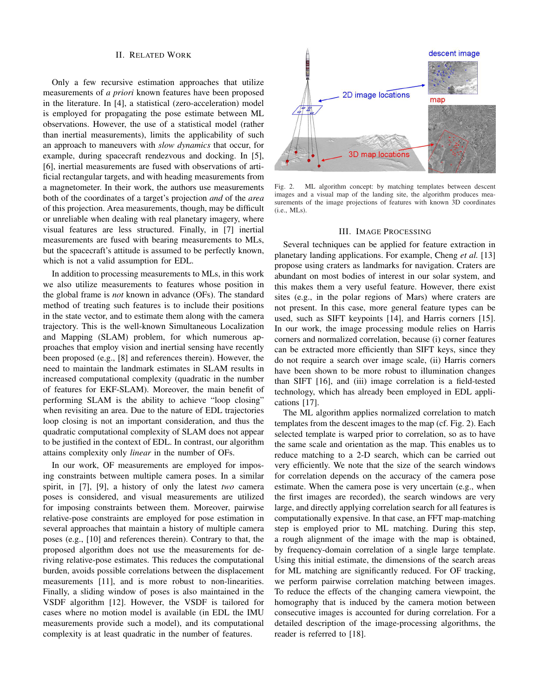#### II. RELATED WORK

Only a few recursive estimation approaches that utilize measurements of *a priori* known features have been proposed in the literature. In [4], a statistical (zero-acceleration) model is employed for propagating the pose estimate between ML observations. However, the use of a statistical model (rather than inertial measurements), limits the applicability of such an approach to maneuvers with *slow dynamics* that occur, for example, during spacecraft rendezvous and docking. In [5], [6], inertial measurements are fused with observations of artificial rectangular targets, and with heading measurements from a magnetometer. In their work, the authors use measurements both of the coordinates of a target's projection *and* of the *area* of this projection. Area measurements, though, may be difficult or unreliable when dealing with real planetary imagery, where visual features are less structured. Finally, in [7] inertial measurements are fused with bearing measurements to MLs, but the spacecraft's attitude is assumed to be perfectly known, which is not a valid assumption for EDL.

In addition to processing measurements to MLs, in this work we also utilize measurements to features whose position in the global frame is *not* known in advance (OFs). The standard method of treating such features is to include their positions in the state vector, and to estimate them along with the camera trajectory. This is the well-known Simultaneous Localization and Mapping (SLAM) problem, for which numerous approaches that employ vision and inertial sensing have recently been proposed (e.g., [8] and references therein). However, the need to maintain the landmark estimates in SLAM results in increased computational complexity (quadratic in the number of features for EKF-SLAM). Moreover, the main benefit of performing SLAM is the ability to achieve "loop closing" when revisiting an area. Due to the nature of EDL trajectories loop closing is not an important consideration, and thus the quadratic computational complexity of SLAM does not appear to be justified in the context of EDL. In contrast, our algorithm attains complexity only *linear* in the number of OFs.

In our work, OF measurements are employed for imposing constraints between multiple camera poses. In a similar spirit, in [7], [9], a history of only the latest *two* camera poses is considered, and visual measurements are utilized for imposing constraints between them. Moreover, pairwise relative-pose constraints are employed for pose estimation in several approaches that maintain a history of multiple camera poses (e.g., [10] and references therein). Contrary to that, the proposed algorithm does not use the measurements for deriving relative-pose estimates. This reduces the computational burden, avoids possible correlations between the displacement measurements [11], and is more robust to non-linearities. Finally, a sliding window of poses is also maintained in the VSDF algorithm [12]. However, the VSDF is tailored for cases where no motion model is available (in EDL the IMU measurements provide such a model), and its computational complexity is at least quadratic in the number of features.



Fig. 2. ML algorithm concept: by matching templates between descent images and a visual map of the landing site, the algorithm produces measurements of the image projections of features with known 3D coordinates (i.e., MLs).

#### III. IMAGE PROCESSING

Several techniques can be applied for feature extraction in planetary landing applications. For example, Cheng *et al.* [13] propose using craters as landmarks for navigation. Craters are abundant on most bodies of interest in our solar system, and this makes them a very useful feature. However, there exist sites (e.g., in the polar regions of Mars) where craters are not present. In this case, more general feature types can be used, such as SIFT keypoints [14], and Harris corners [15]. In our work, the image processing module relies on Harris corners and normalized correlation, because (i) corner features can be extracted more efficiently than SIFT keys, since they do not require a search over image scale, (ii) Harris corners have been shown to be more robust to illumination changes than SIFT [16], and (iii) image correlation is a field-tested technology, which has already been employed in EDL applications [17].

The ML algorithm applies normalized correlation to match templates from the descent images to the map (cf. Fig. 2). Each selected template is warped prior to correlation, so as to have the same scale and orientation as the map. This enables us to reduce matching to a 2-D search, which can be carried out very efficiently. We note that the size of the search windows for correlation depends on the accuracy of the camera pose estimate. When the camera pose is very uncertain (e.g., when the first images are recorded), the search windows are very large, and directly applying correlation search for all features is computationally expensive. In that case, an FFT map-matching step is employed prior to ML matching. During this step, a rough alignment of the image with the map is obtained, by frequency-domain correlation of a single large template. Using this initial estimate, the dimensions of the search areas for ML matching are significantly reduced. For OF tracking, we perform pairwise correlation matching between images. To reduce the effects of the changing camera viewpoint, the homography that is induced by the camera motion between consecutive images is accounted for during correlation. For a detailed description of the image-processing algorithms, the reader is referred to [18].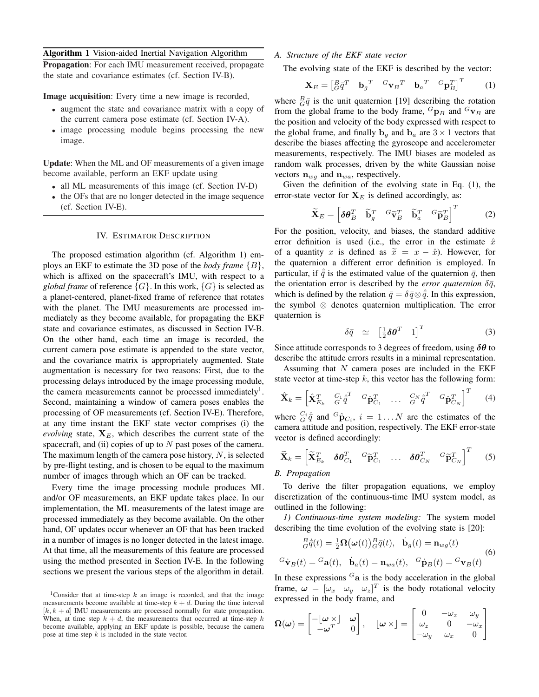## Algorithm 1 Vision-aided Inertial Navigation Algorithm

Propagation: For each IMU measurement received, propagate the state and covariance estimates (cf. Section IV-B).

Image acquisition: Every time a new image is recorded,

- augment the state and covariance matrix with a copy of the current camera pose estimate (cf. Section IV-A).
- image processing module begins processing the new image.

Update: When the ML and OF measurements of a given image become available, perform an EKF update using

- all ML measurements of this image (cf. Section IV-D)
- the OFs that are no longer detected in the image sequence (cf. Section IV-E).

#### IV. ESTIMATOR DESCRIPTION

The proposed estimation algorithm (cf. Algorithm 1) employs an EKF to estimate the 3D pose of the *body frame* {B}, which is affixed on the spacecraft's IMU, with respect to a *global frame* of reference  $\{G\}$ . In this work,  $\{G\}$  is selected as a planet-centered, planet-fixed frame of reference that rotates with the planet. The IMU measurements are processed immediately as they become available, for propagating the EKF state and covariance estimates, as discussed in Section IV-B. On the other hand, each time an image is recorded, the current camera pose estimate is appended to the state vector, and the covariance matrix is appropriately augmented. State augmentation is necessary for two reasons: First, due to the processing delays introduced by the image processing module, the camera measurements cannot be processed immediately<sup>1</sup>. Second, maintaining a window of camera poses enables the processing of OF measurements (cf. Section IV-E). Therefore, at any time instant the EKF state vector comprises (i) the *evolving* state,  $X_E$ , which describes the current state of the spacecraft, and (ii) copies of up to  $N$  past poses of the camera. The maximum length of the camera pose history,  $N$ , is selected by pre-flight testing, and is chosen to be equal to the maximum number of images through which an OF can be tracked.

Every time the image processing module produces ML and/or OF measurements, an EKF update takes place. In our implementation, the ML measurements of the latest image are processed immediately as they become available. On the other hand, OF updates occur whenever an OF that has been tracked in a number of images is no longer detected in the latest image. At that time, all the measurements of this feature are processed using the method presented in Section IV-E. In the following sections we present the various steps of the algorithm in detail.

## *A. Structure of the EKF state vector*

The evolving state of the EKF is described by the vector:

$$
\mathbf{X}_{E} = \begin{bmatrix} B\bar{q}^{T} & \mathbf{b}_{g}^{T} & G\mathbf{v}_{B}^{T} & \mathbf{b}_{a}^{T} & G\mathbf{p}_{B}^{T} \end{bmatrix}^{T}
$$
 (1)

where  ${}_{G}^{B}\bar{q}$  is the unit quaternion [19] describing the rotation from the global frame to the body frame,  ${}^{G}_{P}$  and  ${}^{G}_{V}$  are the position and velocity of the body expressed with respect to the global frame, and finally  $\mathbf{b}_q$  and  $\mathbf{b}_a$  are  $3 \times 1$  vectors that describe the biases affecting the gyroscope and accelerometer measurements, respectively. The IMU biases are modeled as random walk processes, driven by the white Gaussian noise vectors  $n_{wg}$  and  $n_{wa}$ , respectively.

Given the definition of the evolving state in Eq. (1), the error-state vector for  $X_E$  is defined accordingly, as:

$$
\widetilde{\mathbf{X}}_E = \begin{bmatrix} \delta \theta_B^T & \widetilde{\mathbf{b}}_g^T & {}^G \widetilde{\mathbf{v}}_B^T & \widetilde{\mathbf{b}}_a^T & {}^G \widetilde{\mathbf{p}}_B^T \end{bmatrix}^T \tag{2}
$$

For the position, velocity, and biases, the standard additive error definition is used (i.e., the error in the estimate  $\hat{x}$ of a quantity x is defined as  $\tilde{x} = x - \hat{x}$ . However, for the quaternion a different error definition is employed. In particular, if  $\hat{\bar{q}}$  is the estimated value of the quaternion  $\bar{q}$ , then the orientation error is described by the *error quaternion*  $\delta \bar{q}$ , which is defined by the relation  $\bar{q} = \delta \bar{q} \otimes \hat{q}$ . In this expression, the symbol ⊗ denotes quaternion multiplication. The error quaternion is

$$
\delta \bar{q} \simeq \left[\frac{1}{2}\delta \theta^T \quad 1\right]^T \tag{3}
$$

Since attitude corresponds to 3 degrees of freedom, using  $\delta\theta$  to describe the attitude errors results in a minimal representation.

Assuming that N camera poses are included in the EKF state vector at time-step  $k$ , this vector has the following form:

$$
\hat{\mathbf{X}}_k = \begin{bmatrix} \hat{\mathbf{X}}_{E_k}^T & C_1 \hat{\mathbf{q}}^T & G \hat{\mathbf{p}}_{C_1}^T & \dots & C_N \hat{\mathbf{q}}^T & G \hat{\mathbf{p}}_{C_N}^T \end{bmatrix}^T \tag{4}
$$

where  ${}_{G}^{C_i} \hat{\bar{q}}$  and  ${}^{G} \hat{\mathbf{p}}_{C_i}$ ,  $i = 1...N$  are the estimates of the camera attitude and position, respectively. The EKF error-state vector is defined accordingly:

$$
\widetilde{\mathbf{X}}_k = \begin{bmatrix} \widetilde{\mathbf{X}}_{E_k}^T & \delta \boldsymbol{\theta}_{C_1}^T & {}^G \widetilde{\mathbf{p}}_{C_1}^T & \dots & \delta \boldsymbol{\theta}_{C_N}^T & {}^G \widetilde{\mathbf{p}}_{C_N}^T \end{bmatrix}^T \qquad (5)
$$

### *B. Propagation*

To derive the filter propagation equations, we employ discretization of the continuous-time IMU system model, as outlined in the following:

*1) Continuous-time system modeling:* The system model describing the time evolution of the evolving state is [20]:

$$
B_{\tilde{G}}\tilde{q}(t) = \frac{1}{2}\Omega(\omega(t))B_{\tilde{G}}\tilde{q}(t), \quad \dot{\mathbf{b}}_g(t) = \mathbf{n}_{wg}(t)
$$
\n
$$
{}^{G}\dot{\mathbf{v}}_B(t) = {}^{G}\mathbf{a}(t), \quad \dot{\mathbf{b}}_a(t) = \mathbf{n}_{wa}(t), \quad {}^{G}\dot{\mathbf{p}}_B(t) = {}^{G}\mathbf{v}_B(t)
$$
\n(6)

In these expressions  $G_{a}$  is the body acceleration in the global frame,  $\boldsymbol{\omega} = [\omega_x \ \omega_y \ \omega_z]^T$  is the body rotational velocity expressed in the body frame, and  $\overline{r}$  $\overline{a}$ 

$$
\Omega(\omega) = \begin{bmatrix} -\lfloor \omega \times \rfloor & \omega \\ -\omega^T & 0 \end{bmatrix}, \quad \lfloor \omega \times \rfloor = \begin{bmatrix} 0 & -\omega_z & \omega_y \\ \omega_z & 0 & -\omega_x \\ -\omega_y & \omega_x & 0 \end{bmatrix}
$$

<sup>&</sup>lt;sup>1</sup>Consider that at time-step k an image is recorded, and that the image measurements become available at time-step  $k + d$ . During the time interval  $[k, k + d]$  IMU measurements are processed normally for state propagation. When, at time step  $k + d$ , the measurements that occurred at time-step k become available, applying an EKF update is possible, because the camera pose at time-step  $k$  is included in the state vector.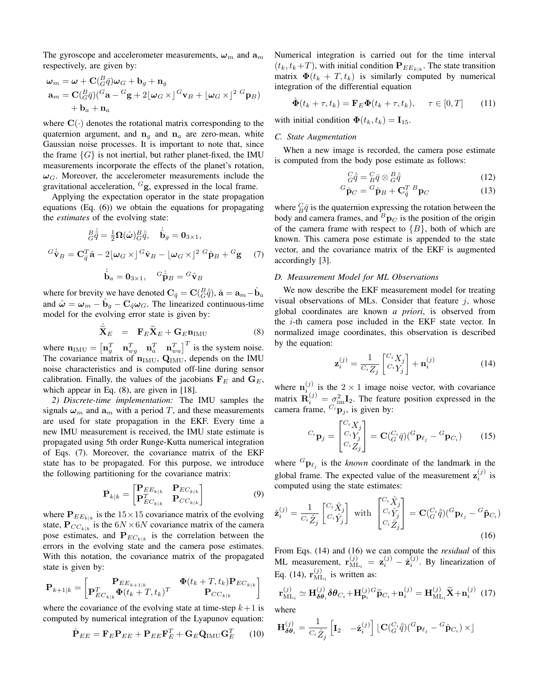The gyroscope and accelerometer measurements,  $\omega_m$  and  $a_m$ respectively, are given by:

$$
\omega_m = \omega + \mathbf{C} \left( \frac{B}{G} \bar{q} \right) \omega_G + \mathbf{b}_g + \mathbf{n}_g
$$
  
\n
$$
\mathbf{a}_m = \mathbf{C} \left( \frac{B}{G} \bar{q} \right) \left( \frac{G}{d} \mathbf{a} - \frac{G}{d} \mathbf{g} + 2 \left[ \omega_G \times \right] \right) \left( \frac{G}{d} \mathbf{v}_B + \left[ \omega_G \times \right]^2 \right) \left( \frac{B}{d} \mathbf{p}_B \right)
$$
  
\n
$$
+ \mathbf{b}_a + \mathbf{n}_a
$$

where  $\mathbf{C}(\cdot)$  denotes the rotational matrix corresponding to the quaternion argument, and  $n<sub>g</sub>$  and  $n<sub>a</sub>$  are zero-mean, white Gaussian noise processes. It is important to note that, since the frame  $\{G\}$  is not inertial, but rather planet-fixed, the IMU measurements incorporate the effects of the planet's rotation,  $\omega_G$ . Moreover, the accelerometer measurements include the gravitational acceleration,  ${}^{G}$ g, expressed in the local frame.

Applying the expectation operator in the state propagation equations (Eq. (6)) we obtain the equations for propagating the *estimates* of the evolving state:

$$
{}_{G}^{B}\dot{\hat{q}} = {}_{2}^{1}\Omega(\hat{\omega}){}_{G}^{B}\hat{\bar{q}}, \quad \dot{\hat{\mathbf{b}}}_{g} = \mathbf{0}_{3\times 1},
$$

$$
{}_{G}\dot{\hat{\mathbf{v}}}_{B} = \mathbf{C}_{\hat{q}}^{T}\hat{\mathbf{a}} - 2\left[\omega_{G}\times\right]{}^{G}\hat{\mathbf{v}}_{B} - \left[\omega_{G}\times\right]^{2}{}^{G}\hat{\mathbf{p}}_{B} + {}^{G}\mathbf{g} \quad (7)
$$

$$
\dot{\hat{\mathbf{b}}}_a = \mathbf{0}_{3 \times 1}, \quad G^{\dagger}_{\mathbf{p}} = G^{\dagger}_{\mathbf{v}} \hat{\mathbf{v}}_B
$$

where for brevity we have denoted  $\mathbf{C}_{\hat{q}} = \mathbf{C}(\mathbf{B}_{G}^{\hat{q}}), \hat{\mathbf{a}} = \mathbf{a}_{m} - \hat{\mathbf{b}}_{a}$ and  $\hat{\omega} = \omega_m - \hat{b}_g - C_{\hat{q}} \omega_G$ . The linearized continuous-time model for the evolving error state is given by:

$$
\dot{\widetilde{\mathbf{X}}}_E = \mathbf{F}_E \widetilde{\mathbf{X}}_E + \mathbf{G}_E \mathbf{n}_{\text{IMU}} \tag{8}
$$

where  $n_{IMU} =$  $\begin{bmatrix} \mathbf{n}_g^T & \mathbf{n}_{wg}^T & \mathbf{n}_a^T & \mathbf{n}_{wa}^T \end{bmatrix}^T$  is the system noise. The covariance matrix of  $n_{IMU}$ ,  $Q_{IMU}$ , depends on the IMU noise characteristics and is computed off-line during sensor calibration. Finally, the values of the jacobians  $\mathbf{F}_E$  and  $\mathbf{G}_E$ , which appear in Eq.  $(8)$ , are given in [18].

*2) Discrete-time implementation:* The IMU samples the signals  $\omega_m$  and  $a_m$  with a period T, and these measurements are used for state propagation in the EKF. Every time a new IMU measurement is received, the IMU state estimate is propagated using 5th order Runge-Kutta numerical integration of Eqs. (7). Moreover, the covariance matrix of the EKF state has to be propagated. For this purpose, we introduce the following partitioning for the covariance matrix:

$$
\mathbf{P}_{k|k} = \begin{bmatrix} \mathbf{P}_{EE_{k|k}} & \mathbf{P}_{EC_{k|k}} \\ \mathbf{P}_{EC_{k|k}}^T & \mathbf{P}_{CC_{k|k}} \end{bmatrix}
$$
(9)

where  $P_{EE_{k|k}}$  is the 15 × 15 covariance matrix of the evolving state,  ${\bf P}_{CC_{k|k}}$  is the  $6N \times 6N$  covariance matrix of the camera pose estimates, and  $P_{EC_{k|k}}$  is the correlation between the errors in the evolving state and the camera pose estimates. With this notation, the covariance matrix of the propagated state is given by:

$$
\mathbf{P}_{k+1|k} = \begin{bmatrix} \mathbf{P}_{EE_{k+1|k}} & \Phi(t_k + T, t_k) \mathbf{P}_{EC_{k|k}} \\ \mathbf{P}_{EC_{k|k}}^T \Phi(t_k + T, t_k)^T & \mathbf{P}_{CC_{k|k}} \end{bmatrix}
$$

where the covariance of the evolving state at time-step  $k+1$  is computed by numerical integration of the Lyapunov equation:

$$
\dot{\mathbf{P}}_{EE} = \mathbf{F}_E \mathbf{P}_{EE} + \mathbf{P}_{EE} \mathbf{F}_E^T + \mathbf{G}_E \mathbf{Q}_{\text{IMU}} \mathbf{G}_E^T \qquad (10)
$$

Numerical integration is carried out for the time interval  $(t_k, t_k+T)$ , with initial condition  $\mathbf{P}_{EE_{k|k}}$ . The state transition matrix  $\mathbf{\Phi}(t_k + T, t_k)$  is similarly computed by numerical integration of the differential equation

$$
\dot{\mathbf{\Phi}}(t_k + \tau, t_k) = \mathbf{F}_E \mathbf{\Phi}(t_k + \tau, t_k), \quad \tau \in [0, T] \tag{11}
$$

with initial condition  $\mathbf{\Phi}(t_k, t_k) = \mathbf{I}_{15}$ .

# *C. State Augmentation*

When a new image is recorded, the camera pose estimate is computed from the body pose estimate as follows:

$$
{}_{G}^{C}\hat{\bar{q}} = {}_{B}^{C}\bar{q} \otimes {}_{G}^{B}\hat{\bar{q}} \tag{12}
$$

$$
{}^{G}\hat{\mathbf{p}}_{C} = {}^{G}\hat{\mathbf{p}}_{B} + \mathbf{C}_{\hat{q}}^{T} {}^{B}\mathbf{p}_{C}
$$
 (13)

where  ${}_{B}^{C}$  $\bar{q}$  is the quaternion expressing the rotation between the body and camera frames, and  ${}^B\mathbf{p}_C$  is the position of the origin of the camera frame with respect to  ${B}$ , both of which are known. This camera pose estimate is appended to the state vector, and the covariance matrix of the EKF is augmented accordingly [3].

# *D. Measurement Model for ML Observations*

We now describe the EKF measurement model for treating visual observations of MLs. Consider that feature  $j$ , whose global coordinates are known *a priori*, is observed from the i-th camera pose included in the EKF state vector. In normalized image coordinates, this observation is described by the equation:

$$
\mathbf{z}_{i}^{(j)} = \frac{1}{C_i Z_j} \begin{bmatrix} C_i X_j \\ C_i Y_j \end{bmatrix} + \mathbf{n}_{i}^{(j)}
$$
(14)

where  $\mathbf{n}_{i}^{(j)}$  is the  $2 \times 1$  image noise vector, with covariance matrix  $\mathbf{R}_i^{(j)} = \sigma_{\text{im}}^2 \mathbf{I}_2$ . The feature position expressed in the camera frame,  $C_i$ **p**<sub>j</sub>, is given by:

$$
C_i \mathbf{p}_j = \begin{bmatrix} C_i X_j \\ C_i Y_j \\ C_i Z_j \end{bmatrix} = \mathbf{C} \begin{pmatrix} C_i \bar{q} \end{pmatrix} \begin{pmatrix} G_{\mathbf{p}_{\ell_j}} - G_{\mathbf{p}_{C_i}} \end{pmatrix} \tag{15}
$$

where  ${}^{G}P_{\ell_j}$  is the *known* coordinate of the landmark in the global frame. The expected value of the measurement  $z_i^{(j)}$  is computed using the state estimates:

$$
\hat{\mathbf{z}}_i^{(j)} = \frac{1}{C_i \hat{Z}_j} \begin{bmatrix} C_i \hat{X}_j \\ C_i \hat{Y}_j \end{bmatrix} \text{ with } \begin{bmatrix} C_i \hat{X}_j \\ C_i \hat{Y}_j \\ C_i \hat{Z}_j \end{bmatrix} = \mathbf{C} \begin{bmatrix} C_i \hat{q} \\ G \hat{q} \end{bmatrix} \begin{bmatrix} G_{\mathbf{p}_{\ell_j}} - G_{\mathbf{\hat{p}}_{C_i}} \end{bmatrix}
$$
\n(16)

From Eqs. (14) and (16) we can compute the *residual* of this ML measurement,  $\mathbf{r}_{\text{MI}}^{(j)}$  $\mathbf{z}_{i}^{(j)} = \mathbf{z}_{i}^{(j)} - \hat{\mathbf{z}}_{i}^{(j)}$ . By linearization of Eq. (14),  ${\bf r}_{\rm MI}^{(j)}$  $_{ML_i}^{(j)}$  is written as:

$$
\mathbf{r}_{\mathrm{ML}_{i}}^{(j)} \simeq \mathbf{H}_{\delta\theta_{i}}^{(j)} \delta\theta_{C_{i}} + \mathbf{H}_{\mathbf{p}_{i}}^{(j)} \widetilde{\mathbf{p}}_{C_{i}} + \mathbf{n}_{i}^{(j)} = \mathbf{H}_{\mathrm{ML}_{i}}^{(j)} \widetilde{\mathbf{X}} + \mathbf{n}_{i}^{(j)} \tag{17}
$$
 where

where

$$
\mathbf{H}_{\boldsymbol{\delta\theta_i}}^{(j)} = \frac{1}{C_i \hat{Z}_j} \begin{bmatrix} \mathbf{I}_2 & -\hat{\mathbf{z}}_i^{(j)} \end{bmatrix} \begin{bmatrix} \mathbf{C} \mathbf{C}_i^C \hat{\bar{q}} \end{bmatrix} \begin{bmatrix}^G \mathbf{p}_{\ell_j} - {}^G \hat{\mathbf{p}}_{C_i} \end{bmatrix} \times \begin{bmatrix} \end{bmatrix}
$$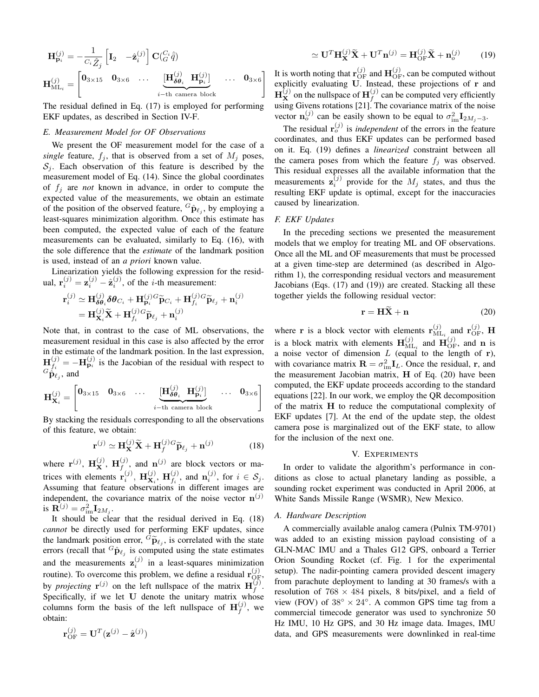$$
\mathbf{H}_{\mathbf{p}_{i}}^{(j)} = -\frac{1}{C_{i}\hat{Z}_{j}} \begin{bmatrix} \mathbf{I}_{2} & -\hat{\mathbf{z}}_{i}^{(j)} \end{bmatrix} \mathbf{C}_{G}^{(C_{i}\hat{\bar{q}})} \n\mathbf{H}_{\mathrm{ML}_{i}}^{(j)} = \begin{bmatrix} \mathbf{0}_{3\times15} & \mathbf{0}_{3\times6} & \cdots & \underbrace{\left[\mathbf{H}_{\delta\theta_{i}}^{(j)} & \mathbf{H}_{\mathbf{p}_{i}}^{(j)}\right]}_{i-\text{th camera block}} & \cdots & \mathbf{0}_{3\times6} \end{bmatrix}
$$

The residual defined in Eq. (17) is employed for performing EKF updates, as described in Section IV-F.

# *E. Measurement Model for OF Observations*

We present the OF measurement model for the case of a *single* feature,  $f_i$ , that is observed from a set of  $M_i$  poses,  $S_i$ . Each observation of this feature is described by the measurement model of Eq. (14). Since the global coordinates of  $f_i$  are *not* known in advance, in order to compute the expected value of the measurements, we obtain an estimate of the position of the observed feature,  ${}^{G}\hat{\mathbf{p}}_{\ell_j}$ , by employing a least-squares minimization algorithm. Once this estimate has been computed, the expected value of each of the feature measurements can be evaluated, similarly to Eq. (16), with the sole difference that the *estimate* of the landmark position is used, instead of an *a priori* known value.

Linearization yields the following expression for the residual,  $\mathbf{r}_i^{(j)} = \mathbf{z}_i^{(j)} - \hat{\mathbf{z}}_i^{(j)}$ , of the *i*-th measurement:

$$
\begin{aligned} \mathbf{r}_i^{(j)} &\simeq \mathbf{H}_{\boldsymbol{\delta\theta}_i}^{(j)} \boldsymbol{\delta\theta}_{C_i} + \mathbf{H}_{\mathbf{p}_i}^{(j)G} \widetilde{\mathbf{p}}_{C_i} + \mathbf{H}_{f_i}^{(j)G} \widetilde{\mathbf{p}}_{\ell_j} + \mathbf{n}_i^{(j)} \\ & = \mathbf{H}_{\mathbf{X}_i}^{(j)} \widetilde{\mathbf{X}} + \mathbf{H}_{f_i}^{(j)G} \widetilde{\mathbf{p}}_{\ell_j} + \mathbf{n}_i^{(j)} \end{aligned}
$$

Note that, in contrast to the case of ML observations, the measurement residual in this case is also affected by the error in the estimate of the landmark position. In the last expression,  $\mathbf{H}^{(j)}_{\scriptscriptstyle{f.}}$  $f_i^{(j)} = -\mathbf{H}_{\mathbf{p}_i}^{(j)}$  is the Jacobian of the residual with respect to  ${}^G\acute{\mathbf{p}}_{\ell_j}$ , and

$$
\mathbf{H}_{\mathbf{X}_{i}}^{(j)} = \begin{bmatrix} \mathbf{0}_{3\times 15} & \mathbf{0}_{3\times 6} & \cdots & \underbrace{[\mathbf{H}_{\delta\theta_{i}}^{(j)} \ \mathbf{H}_{\mathbf{p}_{i}}^{(j)}] & \cdots & \mathbf{0}_{3\times 6} \\ & & \vdots & \vdots & \ddots & \vdots \\ & & & \vdots & \ddots & \vdots \\ & & & & \end{bmatrix}
$$

By stacking the residuals corresponding to all the observations of this feature, we obtain:

$$
\mathbf{r}^{(j)} \simeq \mathbf{H}_{\mathbf{X}}^{(j)} \widetilde{\mathbf{X}} + \mathbf{H}_f^{(j)G} \widetilde{\mathbf{p}}_{\ell_j} + \mathbf{n}^{(j)}
$$
(18)

where  $\mathbf{r}^{(j)}$ ,  $\mathbf{H}_{\mathbf{X}}^{(j)}$ ,  $\mathbf{H}_{f}^{(j)}$  $f_j^{(j)}$ , and  $n^{(j)}$  are block vectors or matrices with elements  $\mathbf{r}_i^{(j)}$ ,  $\mathbf{H}_{\mathbf{X}_i}^{(j)}$  $\mathbf{X}_i^{(j)},\ \mathbf{H}_{f_i}^{(j)}$  $f_i^{(j)}$ , and  $n_i^{(j)}$ , for  $i \in S_j$ . Assuming that feature observations in different images are independent, the covariance matrix of the noise vector  $\mathbf{n}^{(j)}$ is  $\mathbf{R}^{(j)} = \sigma_{\text{im}}^2 \mathbf{I}_{2M_j}$ .

It should be clear that the residual derived in Eq. (18) *cannot* be directly used for performing EKF updates, since the landmark position error,  ${}^G\widetilde{\mathbf{p}}_{\ell_j}$ , is correlated with the state errors (recall that  ${}^{G}\hat{\mathbf{p}}_{\ell_j}$  is computed using the state estimates and the measurements  $z_i^{(j)}$  in a least-squares minimization routine). To overcome this problem, we define a residual  $\mathbf{r}_{\text{OF}}^{(j)}$ , by *projecting*  $\mathbf{r}^{(j)}$  on the left nullspace of the matrix  $\mathbf{H}_f^{(j)}$  $\overset{(j)}{f}$  . Specifically, if we let U denote the unitary matrix whose columns form the basis of the left nullspace of  $H_f^{(j)}$  $f^{(j)}$ , we obtain:

$$
\mathbf{r}_{\mathrm{OF}}^{(j)} = \mathbf{U}^T (\mathbf{z}^{(j)} - \hat{\mathbf{z}}^{(j)})
$$

$$
\simeq \mathbf{U}^T \mathbf{H}_{\mathbf{X}}^{(j)} \widetilde{\mathbf{X}} + \mathbf{U}^T \mathbf{n}^{(j)} = \mathbf{H}_{\mathrm{OF}}^{(j)} \widetilde{\mathbf{X}} + \mathbf{n}_o^{(j)} \tag{19}
$$

It is worth noting that  $\mathbf{r}_{\text{OF}}^{(j)}$  and  $\mathbf{H}_{\text{OF}}^{(j)}$ , can be computed without explicitly evaluating U. Instead, these projections of r and  $\mathbf{H}_{\mathbf{X}}^{(j)}$  on the nullspace of  $\mathbf{H}_{f}^{(j)}$  $f_f^{(j)}$  can be computed very efficiently using Givens rotations [21]. The covariance matrix of the noise vector  $\mathbf{n}_{o}^{(j)}$  can be easily shown to be equal to  $\sigma_{\text{im}}^2 \mathbf{I}_{2M_j-3}$ .

The residual  $r_o^{(j)}$  is *independent* of the errors in the feature coordinates, and thus EKF updates can be performed based on it. Eq. (19) defines a *linearized* constraint between all the camera poses from which the feature  $f_i$  was observed. This residual expresses all the available information that the measurements  $\mathbf{z}_i^{(j)}$  provide for the  $M_j$  states, and thus the resulting EKF update is optimal, except for the inaccuracies caused by linearization.

# *F. EKF Updates*

In the preceding sections we presented the measurement models that we employ for treating ML and OF observations. Once all the ML and OF measurements that must be processed at a given time-step are determined (as described in Algorithm 1), the corresponding residual vectors and measurement Jacobians (Eqs. (17) and (19)) are created. Stacking all these together yields the following residual vector:

$$
\mathbf{r} = \mathbf{H}\widetilde{\mathbf{X}} + \mathbf{n} \tag{20}
$$

where **r** is a block vector with elements  $\mathbf{r}_{\text{ML}}^{(j)}$  $_{ML_i}^{(j)}$  and  $\mathbf{r}_{\text{OF}}^{(j)}$ , **H** is a block matrix with elements  $\mathbf{H}_{\text{MI}}^{(j)}$  $_{\text{ML}_i}^{(j)}$  and  $\mathbf{H}_{\text{OF}}^{(j)}$ , and n is a noise vector of dimension  $L$  (equal to the length of  $r$ ), with covariance matrix  $\mathbf{R} = \sigma_{\text{im}}^2 \mathbf{I}_L$ . Once the residual, r, and the measurement Jacobian matrix, H of Eq. (20) have been computed, the EKF update proceeds according to the standard equations [22]. In our work, we employ the QR decomposition of the matrix H to reduce the computational complexity of EKF updates [7]. At the end of the update step, the oldest camera pose is marginalized out of the EKF state, to allow for the inclusion of the next one.

## V. EXPERIMENTS

In order to validate the algorithm's performance in conditions as close to actual planetary landing as possible, a sounding rocket experiment was conducted in April 2006, at White Sands Missile Range (WSMR), New Mexico.

## *A. Hardware Description*

A commercially available analog camera (Pulnix TM-9701) was added to an existing mission payload consisting of a GLN-MAC IMU and a Thales G12 GPS, onboard a Terrier Orion Sounding Rocket (cf. Fig. 1 for the experimental setup). The nadir-pointing camera provided descent imagery from parachute deployment to landing at 30 frames/s with a resolution of  $768 \times 484$  pixels, 8 bits/pixel, and a field of view (FOV) of  $38° \times 24°$ . A common GPS time tag from a commercial timecode generator was used to synchronize 50 Hz IMU, 10 Hz GPS, and 30 Hz image data. Images, IMU data, and GPS measurements were downlinked in real-time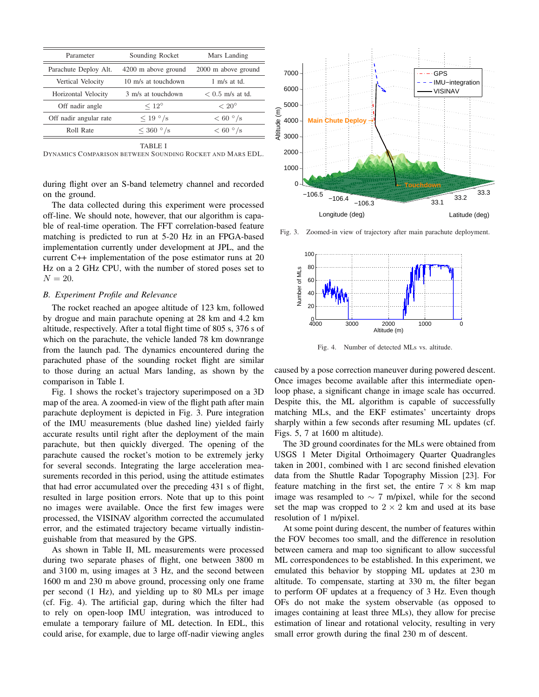| Parameter              | Sounding Rocket     | Mars Landing           |  |
|------------------------|---------------------|------------------------|--|
| Parachute Deploy Alt.  | 4200 m above ground | 2000 m above ground    |  |
| Vertical Velocity      | 10 m/s at touchdown | $1 \text{ m/s}$ at td. |  |
| Horizontal Velocity    | 3 m/s at touchdown  | $< 0.5$ m/s at td.     |  |
| Off nadir angle        | $\leq 12^{\circ}$   | $< 20^{\circ}$         |  |
| Off nadir angular rate | $< 19 \degree$ /s   | $< 60 \degree$ /s      |  |
| Roll Rate              | $\leq 360$ °/s      | $< 60$ °/s             |  |
|                        | TABLE I             |                        |  |

DYNAMICS COMPARISON BETWEEN SOUNDING ROCKET AND MARS EDL.

during flight over an S-band telemetry channel and recorded on the ground.

The data collected during this experiment were processed off-line. We should note, however, that our algorithm is capable of real-time operation. The FFT correlation-based feature matching is predicted to run at 5-20 Hz in an FPGA-based implementation currently under development at JPL, and the current C++ implementation of the pose estimator runs at 20 Hz on a 2 GHz CPU, with the number of stored poses set to  $N = 20.$ 

## *B. Experiment Profile and Relevance*

The rocket reached an apogee altitude of 123 km, followed by drogue and main parachute opening at 28 km and 4.2 km altitude, respectively. After a total flight time of 805 s, 376 s of which on the parachute, the vehicle landed 78 km downrange from the launch pad. The dynamics encountered during the parachuted phase of the sounding rocket flight are similar to those during an actual Mars landing, as shown by the comparison in Table I.

Fig. 1 shows the rocket's trajectory superimposed on a 3D map of the area. A zoomed-in view of the flight path after main parachute deployment is depicted in Fig. 3. Pure integration of the IMU measurements (blue dashed line) yielded fairly accurate results until right after the deployment of the main parachute, but then quickly diverged. The opening of the parachute caused the rocket's motion to be extremely jerky for several seconds. Integrating the large acceleration measurements recorded in this period, using the attitude estimates that had error accumulated over the preceding 431 s of flight, resulted in large position errors. Note that up to this point no images were available. Once the first few images were processed, the VISINAV algorithm corrected the accumulated error, and the estimated trajectory became virtually indistinguishable from that measured by the GPS.

As shown in Table II, ML measurements were processed during two separate phases of flight, one between 3800 m and 3100 m, using images at 3 Hz, and the second between 1600 m and 230 m above ground, processing only one frame per second (1 Hz), and yielding up to 80 MLs per image (cf. Fig. 4). The artificial gap, during which the filter had to rely on open-loop IMU integration, was introduced to emulate a temporary failure of ML detection. In EDL, this could arise, for example, due to large off-nadir viewing angles



Fig. 3. Zoomed-in view of trajectory after main parachute deployment.



Fig. 4. Number of detected MLs vs. altitude.

caused by a pose correction maneuver during powered descent. Once images become available after this intermediate openloop phase, a significant change in image scale has occurred. Despite this, the ML algorithm is capable of successfully matching MLs, and the EKF estimates' uncertainty drops sharply within a few seconds after resuming ML updates (cf. Figs. 5, 7 at 1600 m altitude).

The 3D ground coordinates for the MLs were obtained from USGS 1 Meter Digital Orthoimagery Quarter Quadrangles taken in 2001, combined with 1 arc second finished elevation data from the Shuttle Radar Topography Mission [23]. For feature matching in the first set, the entire  $7 \times 8$  km map image was resampled to  $\sim$  7 m/pixel, while for the second set the map was cropped to  $2 \times 2$  km and used at its base resolution of 1 m/pixel.

At some point during descent, the number of features within the FOV becomes too small, and the difference in resolution between camera and map too significant to allow successful ML correspondences to be established. In this experiment, we emulated this behavior by stopping ML updates at 230 m altitude. To compensate, starting at 330 m, the filter began to perform OF updates at a frequency of 3 Hz. Even though OFs do not make the system observable (as opposed to images containing at least three MLs), they allow for precise estimation of linear and rotational velocity, resulting in very small error growth during the final 230 m of descent.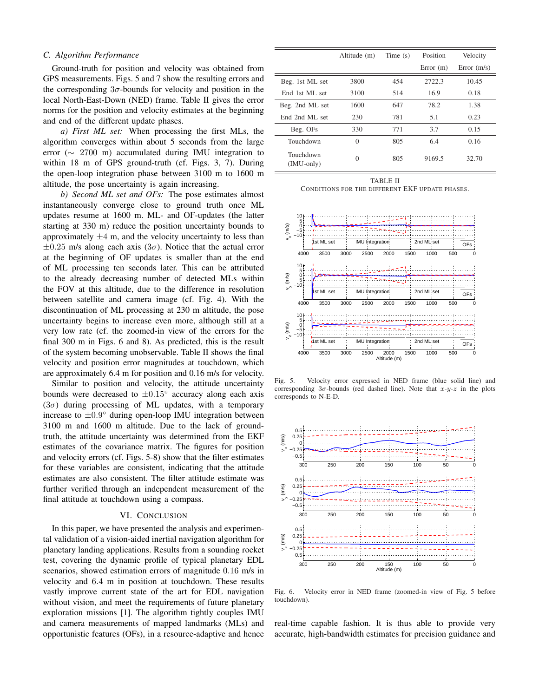## *C. Algorithm Performance*

Ground-truth for position and velocity was obtained from GPS measurements. Figs. 5 and 7 show the resulting errors and the corresponding  $3\sigma$ -bounds for velocity and position in the local North-East-Down (NED) frame. Table II gives the error norms for the position and velocity estimates at the beginning and end of the different update phases.

*a) First ML set:* When processing the first MLs, the algorithm converges within about 5 seconds from the large error (∼ 2700 m) accumulated during IMU integration to within 18 m of GPS ground-truth (cf. Figs. 3, 7). During the open-loop integration phase between 3100 m to 1600 m altitude, the pose uncertainty is again increasing.

*b) Second ML set and OFs:* The pose estimates almost instantaneously converge close to ground truth once ML updates resume at 1600 m. ML- and OF-updates (the latter starting at 330 m) reduce the position uncertainty bounds to approximately  $\pm 4$  m, and the velocity uncertainty to less than  $\pm 0.25$  m/s along each axis (3 $\sigma$ ). Notice that the actual error at the beginning of OF updates is smaller than at the end of ML processing ten seconds later. This can be attributed to the already decreasing number of detected MLs within the FOV at this altitude, due to the difference in resolution between satellite and camera image (cf. Fig. 4). With the discontinuation of ML processing at 230 m altitude, the pose uncertainty begins to increase even more, although still at a very low rate (cf. the zoomed-in view of the errors for the final 300 m in Figs. 6 and 8). As predicted, this is the result of the system becoming unobservable. Table II shows the final velocity and position error magnitudes at touchdown, which are approximately 6.4 m for position and 0.16 m/s for velocity.

Similar to position and velocity, the attitude uncertainty bounds were decreased to  $\pm 0.15^{\circ}$  accuracy along each axis  $(3\sigma)$  during processing of ML updates, with a temporary increase to  $\pm 0.9^{\circ}$  during open-loop IMU integration between 3100 m and 1600 m altitude. Due to the lack of groundtruth, the attitude uncertainty was determined from the EKF estimates of the covariance matrix. The figures for position and velocity errors (cf. Figs. 5-8) show that the filter estimates for these variables are consistent, indicating that the attitude estimates are also consistent. The filter attitude estimate was further verified through an independent measurement of the final attitude at touchdown using a compass.

#### VI. CONCLUSION

In this paper, we have presented the analysis and experimental validation of a vision-aided inertial navigation algorithm for planetary landing applications. Results from a sounding rocket test, covering the dynamic profile of typical planetary EDL scenarios, showed estimation errors of magnitude 0.16 m/s in velocity and 6.4 m in position at touchdown. These results vastly improve current state of the art for EDL navigation without vision, and meet the requirements of future planetary exploration missions [1]. The algorithm tightly couples IMU and camera measurements of mapped landmarks (MLs) and opportunistic features (OFs), in a resource-adaptive and hence

|                           | Altitude (m) | Time $(s)$ | Position | Velocity      |
|---------------------------|--------------|------------|----------|---------------|
|                           |              |            | Error(m) | Error $(m/s)$ |
| Beg. 1st ML set           | 3800         | 454        | 2722.3   | 10.45         |
| End 1st ML set            | 3100         | 514        | 16.9     | 0.18          |
| Beg. 2nd ML set           | 1600         | 647        | 78.2     | 1.38          |
| End 2nd ML set            | 230          | 781        | 5.1      | 0.23          |
| Beg. OFs                  | 330          | 771        | 3.7      | 0.15          |
| Touchdown                 | $\theta$     | 805        | 6.4      | 0.16          |
| Touchdown<br>$(IMU-only)$ | $\theta$     | 805        | 9169.5   | 32.70         |

TABLE II CONDITIONS FOR THE DIFFERENT EKF UPDATE PHASES.



Fig. 5. Velocity error expressed in NED frame (blue solid line) and corresponding  $3\sigma$ -bounds (red dashed line). Note that  $x-y-z$  in the plots corresponds to N-E-D.



Fig. 6. Velocity error in NED frame (zoomed-in view of Fig. 5 before touchdown).

real-time capable fashion. It is thus able to provide very accurate, high-bandwidth estimates for precision guidance and